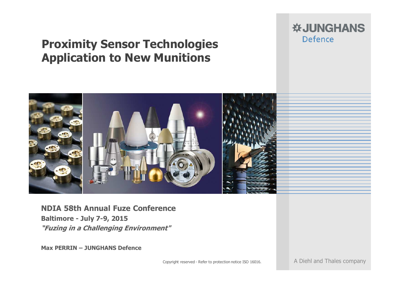# **Proximity Sensor Technologies Application to New Munitions**

#### **※JUNGHANS** Defence



**NDIA 58th Annual Fuze Conference Baltimore - July 7-9, 2015 "Fuzing in a Challenging Environment"**

**Max PERRIN – JUNGHANS Defence**

Copyright reserved - Refer to protection notice ISO 16016. A Diehl and Thales company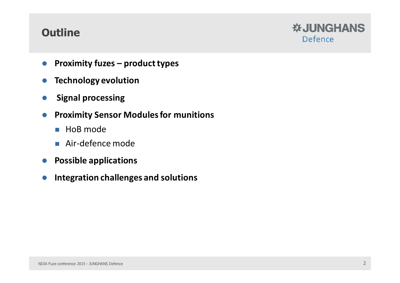#### **Outline**



- $\bullet$ **Proximity fuzes – product types**
- $\bullet$ **Technology evolution**
- $\bullet$ **Signal processing**
- **Proximity Sensor Modules for munitions**
	- HoB mode
	- Air-defence mode
- **Possible applications**
- $\bullet$ **Integration challenges and solutions**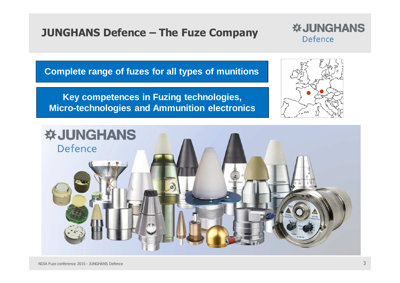#### **JUNGHANS Defence – The Fuze Company**



**Complete range of fuzes for all types of munitions**

**Key competences in Fuzing technologies, Micro-technologies and Ammunition electronics**



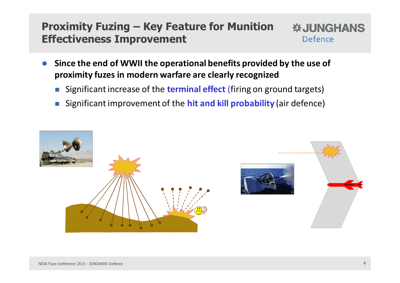#### **Proximity Fuzing – Key Feature for Munition WJUNGHANS Effectiveness Improvement** Defence

- $\bullet$  **Since the end of WWII the operational benefits provided by the use of proximity fuzes in modern warfare are clearly recognized**
	- -Significant increase of the **terminal effect** (firing on ground targets)
	- -Significant improvement of the **hit and kill probability** (air defence)

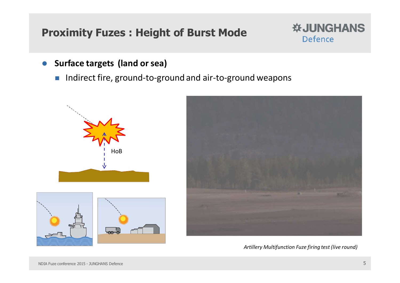# **Proximity Fuzes : Height of Burst Mode**



- $\bullet$  **Surface targets (land or sea)**
	- $\mathbb{R}^2$ Indirect fire, ground-to-ground and air-to-ground weapons







*Artillery Multifunction Fuze firing test (live round)*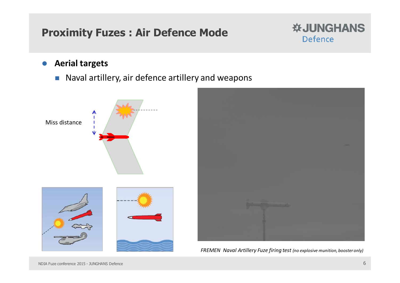# **Proximity Fuzes : Air Defence Mode**



 $\bullet$ **Aerial targets**

> -Naval artillery, air defence artillery and weapons

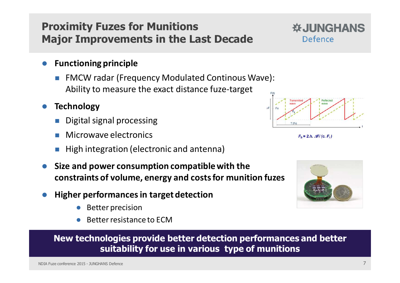#### **Proximity Fuzes for MunitionsMajor Improvements in the Last Decade**

- $\bullet$  **Functioning principle**
	- FMCW radar (Frequency Modulated Continous Wave): Ability to measure the exact distance fuze-target
- $\bullet$  **Technology**
	- -Digital signal processing
	- -Microwave electronics
	- High integration (electronic and antenna)
- $\bullet$  **Size and power consumption compatible with the constraints of volume, energy and costs for munition fuzes**
- $\bullet$  **Higher performances in target detection**
	- ●Better precision
	- ●Better resistance to ECM

**New technologies provide better detection performances and better suitability for use in various type of munitions**

**WJUNGHANS** 

Defence

 $F_b = 2.h.$   $\Delta F/(c. F_r)$ 

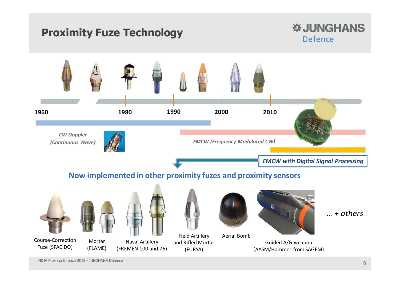# **Proximity Fuze Technology**

#### **※JUNGHANS Defence**



NDIA Fuze conference 2015 - JUNGHANS Defence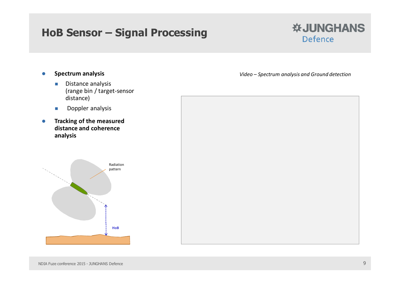#### **HoB Sensor – Signal Processing**



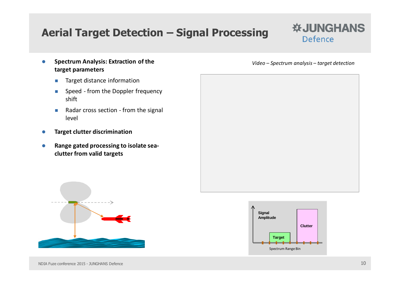# **Aerial Target Detection – Signal Processing**

#### **※JUNGHANS** Defence

- $\bullet$  **Spectrum Analysis: Extraction of the target parameters**
	- -Target distance information
	- - Speed - from the Doppler frequency shift
	- - Radar cross section - from the signal level
- $\bullet$ **Target clutter discrimination**
- $\bullet$  **Range gated processing to isolate seaclutter from valid targets**

*Video – Spectrum analysis – target detection*





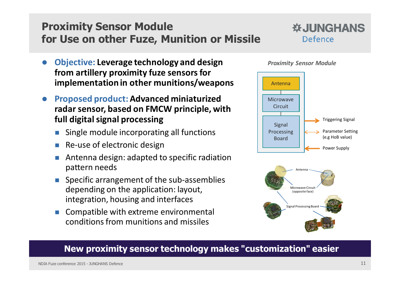# **Proximity Sensor Modulefor Use on other Fuze, Munition or Missile**



- $\bullet$  **Objective: Leverage technology and design from artillery proximity fuze sensors for implementation in other munitions/weapons**
- $\bullet$  **Proposed product: Advanced miniaturized radar sensor, based on FMCW principle, with full digital signal processing**
	- -Single module incorporating all functions
	- -Re-use of electronic design
	- - Antenna design: adapted to specific radiation pattern needs
	- - Specific arrangement of the sub-assemblies depending on the application: layout, integration, housing and interfaces
	- - Compatible with extreme environmental conditions from munitions and missiles







#### **New proximity sensor technology makes "customization" easier**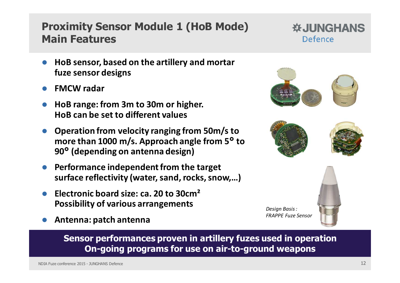#### **Proximity Sensor Module 1 (HoB Mode) Main Features**

- $\bullet$  **HoB sensor, based on the artillery and mortar fuze sensor designs**
- $\bullet$ **FMCW radar**
- $\bullet$  **HoB range: from 3m to 30m or higher. HoB can be set to different values**
- $\bullet$  **Operation from velocity ranging from 50m/s to more than 1000 m/s. Approach angle from 5° to 90° (depending on antenna design)**
- $\bullet$  **Performance independent from the target surface reflectivity (water, sand, rocks, snow,…)**
- $\bullet$  **Electronic board size: ca. 20 to 30cm² Possibility of various arrangements**
- $\bullet$ **Antenna: patch antenna**

**Sensor performances proven in artillery fuzes used in operation On-going programs for use on air-to-ground weapons**





**WJUNGHANS** 

Defence

*Design Basis :*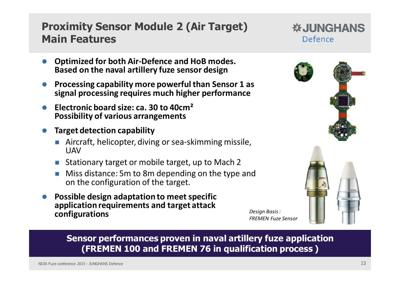#### **Proximity Sensor Module 2 (Air Target)Main Features**

- $\bullet$  **Optimized for both Air-Defence and HoB modes. Based on the naval artillery fuze sensor design**
- $\bullet$  **Processing capability more powerful than Sensor 1 as signal processing requires much higher performance**
- **Electronic board size: ca. 30 to 40cm² Possibility of various arrangements**
- $\bullet$  **Target detection capability**
	- **Aircraft, helicopter, diving or sea-skimming missile,** UAV
	- Stationary target or mobile target, up to Mach 2 -
	- - Miss distance: 5m to 8m depending on the type and on the configuration of the target.
- $\bullet$  **Possible design adaptation to meet specific application requirements and target attack configurations**



**※JUNGHANS** 

Defence

**Sensor performances proven in naval artillery fuze application (FREMEN 100 and FREMEN 76 in qualification process )**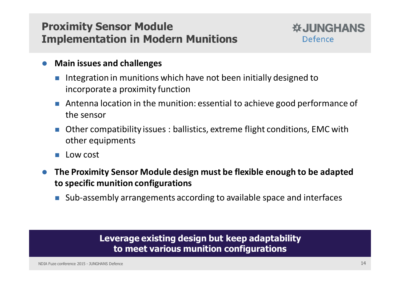## **Proximity Sensor ModuleImplementation in Modern Munitions**



- $\bullet$  **Main issues and challenges**
	- Integration in munitions which have not been initially designed to incorporate a proximity function
	- - Antenna location in the munition: essential to achieve good performance of the sensor
	- - Other compatibility issues : ballistics, extreme flight conditions, EMC withother equipments
	- -Low cost
- $\bullet$  **The Proximity Sensor Module design must be flexible enough to be adapted to specific munition configurations**
	- -Sub-assembly arrangements according to available space and interfaces

#### **Leverage existing design but keep adaptability to meet various munition configurations**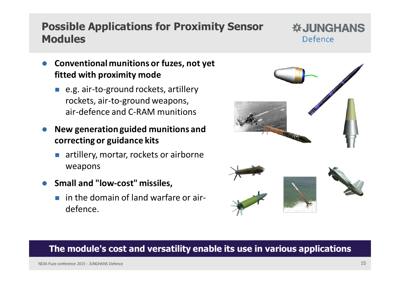## **Possible Applications for Proximity Sensor Modules**

#### **WJUNGHANS** Defence

- $\bullet$  **Conventional munitions or fuzes, not yet fitted with proximity mode** 
	- e.g. air-to-ground rockets, artillery rockets, air-to-ground weapons, air-defence and C-RAM munitions
- $\bullet$  **New generation guided munitions and correcting or guidance kits**
	- artillery, mortar, rockets or airborne weapons
- **Small and "low-cost" missiles,** 
	- **n** in the domain of land warfare or airdefence.



#### **The module's cost and versatility enable its use in various applications**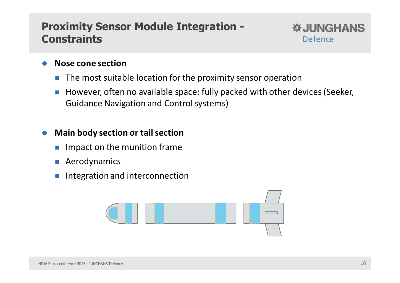#### **Proximity Sensor Module Integration - Constraints**



- $\bullet$  **Nose cone section**
	- -The most suitable location for the proximity sensor operation
	- - However, often no available space: fully packed with other devices (Seeker, Guidance Navigation and Control systems)

#### $\bullet$ **Main body section or tail section**

- -Impact on the munition frame
- -Aerodynamics
- -Integration and interconnection

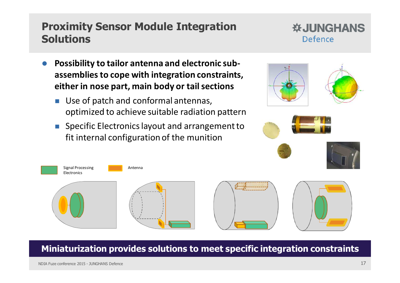#### NDIA Fuze conference 2015 - JUNGHANS Defence 17 17

#### **Proximity Sensor Module IntegrationSolutions**

#### $\bullet$  **Possibility to tailor antenna and electronic subassemblies to cope with integration constraints, either in nose part, main body or tail sections**

- - Use of patch and conformal antennas, optimized to achieve suitable radiation pattern
- - Specific Electronics layout and arrangement to fit internal configuration of the munition



**Miniaturization provides solutions to meet specific integration constraints** 



Defence

**※JUNGHANS**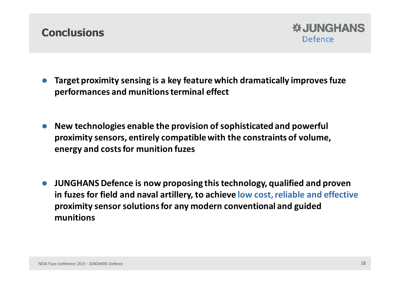#### **Conclusions**



- $\bullet$  **Target proximity sensing is a key feature which dramatically improves fuze performances and munitions terminal effect**
- $\bullet$  **New technologies enable the provision of sophisticated and powerful proximity sensors, entirely compatible with the constraints of volume, energy and costs for munition fuzes**
- $\bullet$  **JUNGHANS Defence is now proposing this technology, qualified and proven in fuzes for field and naval artillery, to achieve low cost, reliable and effective proximity sensor solutions for any modern conventional and guided munitions**